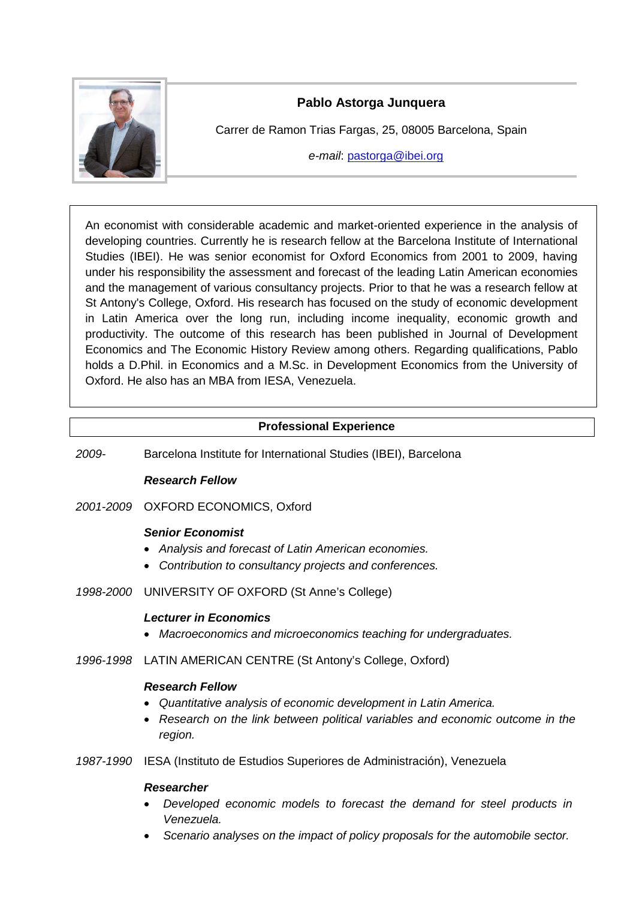

# **Pablo Astorga Junquera**

Carrer de Ramon Trias Fargas, 25, 08005 Barcelona, Spain

*e-mail*: [pastorga@ibei.org](mailto:pastorga@ibei.org)

An economist with considerable academic and market-oriented experience in the analysis of developing countries. Currently he is research fellow at the Barcelona Institute of International Studies (IBEI). He was senior economist for Oxford Economics from 2001 to 2009, having under his responsibility the assessment and forecast of the leading Latin American economies and the management of various consultancy projects. Prior to that he was a research fellow at St Antony's College, Oxford. His research has focused on the study of economic development in Latin America over the long run, including income inequality, economic growth and productivity. The outcome of this research has been published in Journal of Development Economics and The Economic History Review among others. Regarding qualifications, Pablo holds a D.Phil. in Economics and a M.Sc. in Development Economics from the University of Oxford. He also has an MBA from IESA, Venezuela.

# **Professional Experience**

*2009-* Barcelona Institute for International Studies (IBEI), Barcelona

## *Research Fellow*

## *2001-2009* OXFORD ECONOMICS, Oxford

## *Senior Economist*

- *Analysis and forecast of Latin American economies.*
- *Contribution to consultancy projects and conferences.*
- *1998-2000* UNIVERSITY OF OXFORD (St Anne's College)

## *Lecturer in Economics*

- *Macroeconomics and microeconomics teaching for undergraduates.*
- *1996-1998* LATIN AMERICAN CENTRE (St Antony's College, Oxford)

## *Research Fellow*

- *Quantitative analysis of economic development in Latin America.*
- *Research on the link between political variables and economic outcome in the region.*
- *1987-1990* IESA (Instituto de Estudios Superiores de Administración), Venezuela

## *Researcher*

- *Developed economic models to forecast the demand for steel products in Venezuela.*
- *Scenario analyses on the impact of policy proposals for the automobile sector.*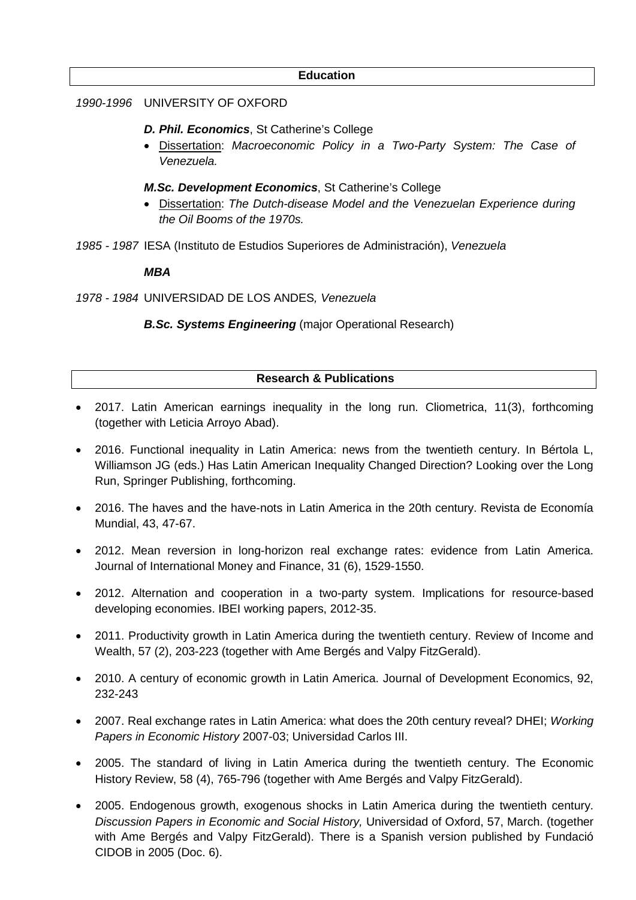#### **Education**

#### *1990-1996* UNIVERSITY OF OXFORD

- *D. Phil. Economics*, St Catherine's College
- Dissertation: *Macroeconomic Policy in a Two-Party System: The Case of Venezuela.*
- *M.Sc. Development Economics*, St Catherine's College
- Dissertation: *The Dutch-disease Model and the Venezuelan Experience during the Oil Booms of the 1970s.*
- *1985 - 1987* IESA (Instituto de Estudios Superiores de Administración), *Venezuela*

*MBA*

*1978 - 1984* UNIVERSIDAD DE LOS ANDES*, Venezuela*

*B.Sc. Systems Engineering* (major Operational Research)

## **Research & Publications**

- 2017. Latin American earnings inequality in the long run. Cliometrica, 11(3), forthcoming (together with Leticia Arroyo Abad).
- 2016. Functional inequality in Latin America: news from the twentieth century. In Bértola L, Williamson JG (eds.) Has Latin American Inequality Changed Direction? Looking over the Long Run, Springer Publishing, forthcoming.
- 2016. The haves and the have-nots in Latin America in the 20th century. Revista de Economía Mundial, 43, 47-67.
- 2012. Mean reversion in long-horizon real exchange rates: evidence from Latin America. Journal of International Money and Finance, 31 (6), 1529-1550.
- 2012. Alternation and cooperation in a two-party system. Implications for resource-based developing economies. IBEI working papers, 2012-35.
- 2011. Productivity growth in Latin America during the twentieth century. Review of Income and Wealth, 57 (2), 203-223 (together with Ame Bergés and Valpy FitzGerald).
- 2010. A century of economic growth in Latin America. Journal of Development Economics, 92, 232-243
- 2007. Real exchange rates in Latin America: what does the 20th century reveal? DHEI; *Working Papers in Economic History* 2007-03; Universidad Carlos III.
- 2005. The standard of living in Latin America during the twentieth century. The Economic History Review, 58 (4), 765-796 (together with Ame Bergés and Valpy FitzGerald).
- 2005. Endogenous growth, exogenous shocks in Latin America during the twentieth century. *Discussion Papers in Economic and Social History,* Universidad of Oxford, 57, March. (together with Ame Bergés and Valpy FitzGerald). There is a Spanish version published by Fundació CIDOB in 2005 (Doc. 6).